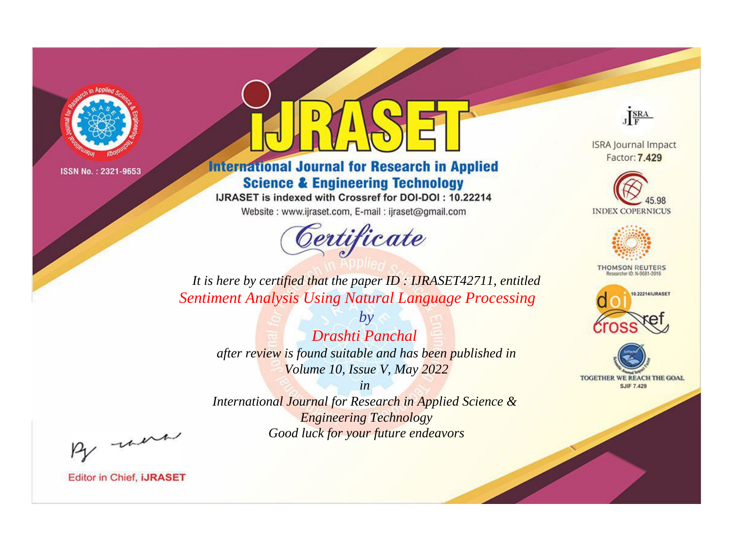

# **International Journal for Research in Applied Science & Engineering Technology**

IJRASET is indexed with Crossref for DOI-DOI: 10.22214

Website: www.ijraset.com, E-mail: ijraset@gmail.com



JERA

**ISRA Journal Impact** Factor: 7.429





**THOMSON REUTERS** 



TOGETHER WE REACH THE GOAL **SJIF 7.429** 

*It is here by certified that the paper ID : IJRASET42711, entitled Sentiment Analysis Using Natural Language Processing*

*by Drashti Panchal after review is found suitable and has been published in Volume 10, Issue V, May 2022*

*in* 

*International Journal for Research in Applied Science & Engineering Technology Good luck for your future endeavors*

By morn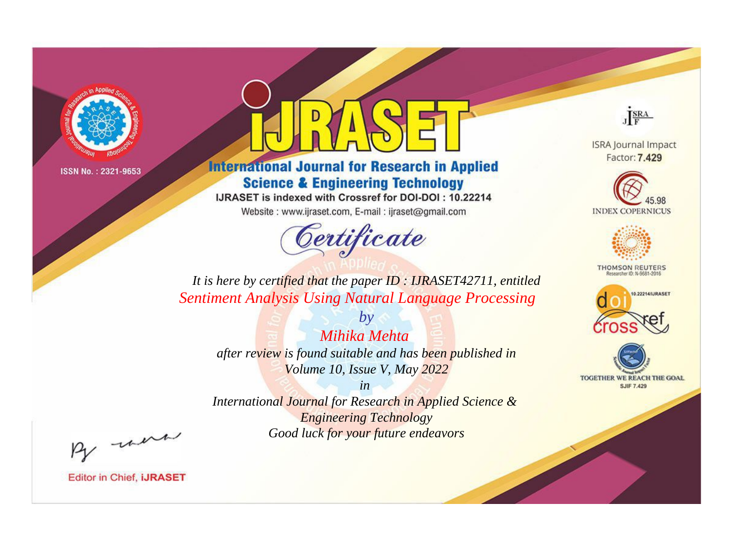

# **International Journal for Research in Applied Science & Engineering Technology**

IJRASET is indexed with Crossref for DOI-DOI: 10.22214

Website: www.ijraset.com, E-mail: ijraset@gmail.com



JERA

**ISRA Journal Impact** Factor: 7.429





**THOMSON REUTERS** 



TOGETHER WE REACH THE GOAL **SJIF 7.429** 

*It is here by certified that the paper ID : IJRASET42711, entitled Sentiment Analysis Using Natural Language Processing*

*by Mihika Mehta after review is found suitable and has been published in Volume 10, Issue V, May 2022*

*in* 

*International Journal for Research in Applied Science & Engineering Technology Good luck for your future endeavors*

By morn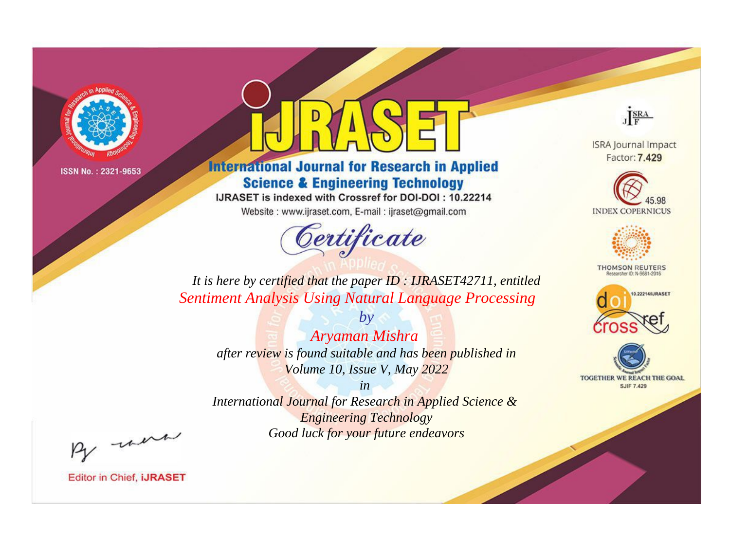

# **International Journal for Research in Applied Science & Engineering Technology**

IJRASET is indexed with Crossref for DOI-DOI: 10.22214

Website: www.ijraset.com, E-mail: ijraset@gmail.com



JERA

**ISRA Journal Impact** Factor: 7.429





**THOMSON REUTERS** 



TOGETHER WE REACH THE GOAL **SJIF 7.429** 

*It is here by certified that the paper ID : IJRASET42711, entitled Sentiment Analysis Using Natural Language Processing*

*by Aryaman Mishra after review is found suitable and has been published in Volume 10, Issue V, May 2022*

*in* 

*International Journal for Research in Applied Science & Engineering Technology Good luck for your future endeavors*

By morn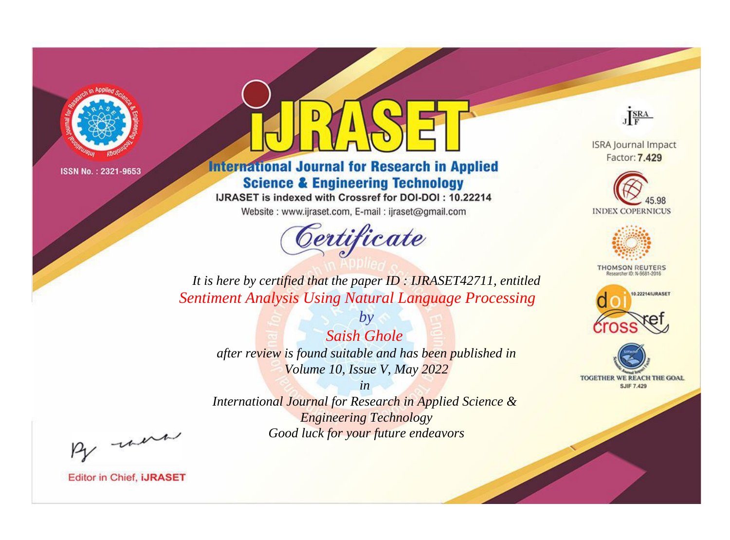

# **International Journal for Research in Applied Science & Engineering Technology**

IJRASET is indexed with Crossref for DOI-DOI: 10.22214

Website: www.ijraset.com, E-mail: ijraset@gmail.com



JERA

**ISRA Journal Impact** Factor: 7.429





**THOMSON REUTERS** 



TOGETHER WE REACH THE GOAL **SJIF 7.429** 

*It is here by certified that the paper ID : IJRASET42711, entitled Sentiment Analysis Using Natural Language Processing*

*Saish Ghole after review is found suitable and has been published in Volume 10, Issue V, May 2022*

*by*

*in* 

*International Journal for Research in Applied Science & Engineering Technology Good luck for your future endeavors*

By morn